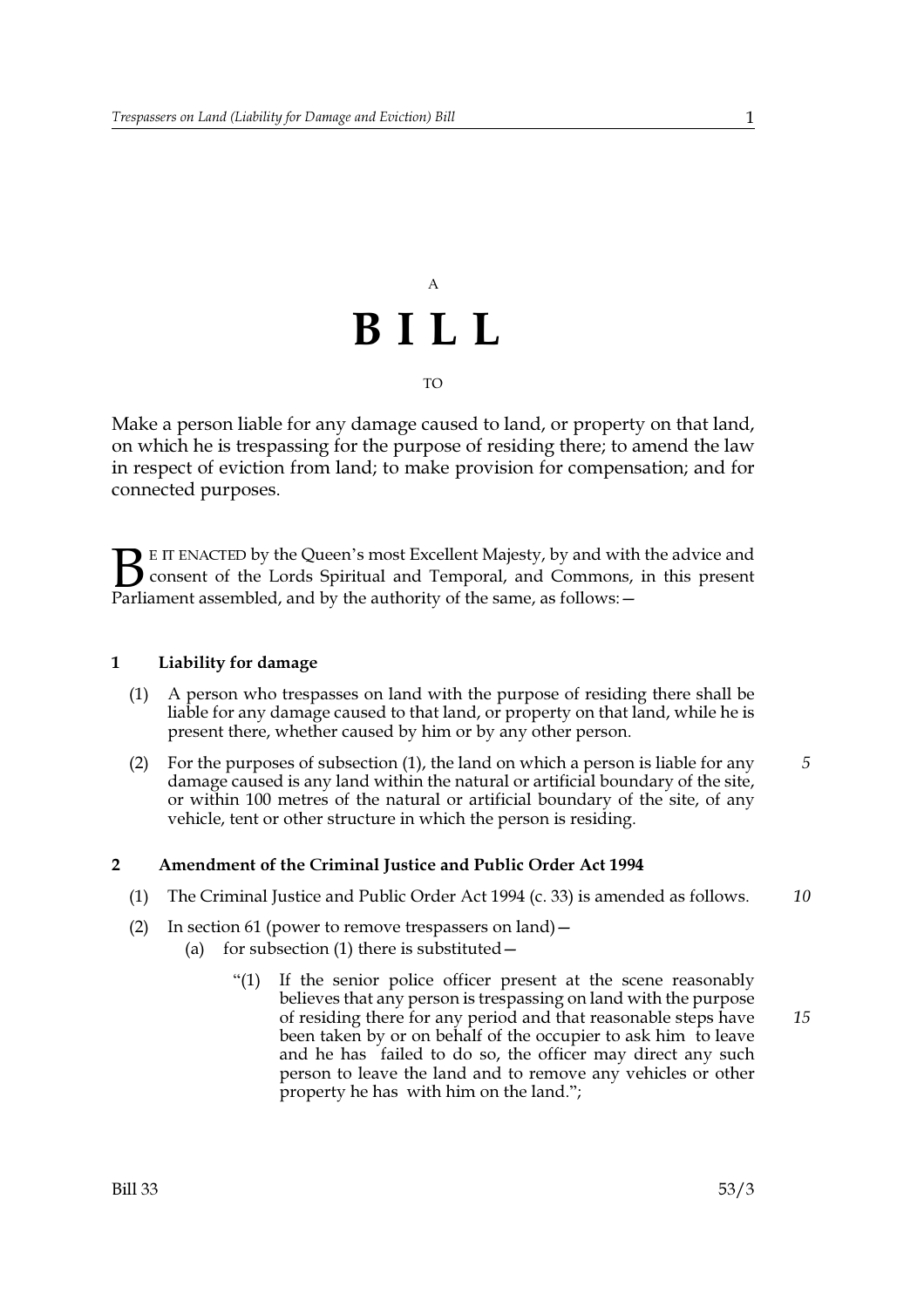## $\overline{A}$ BILL **TO**

Make a person liable for any damage caused to land, or property on that land, on which he is trespassing for the purpose of residing there; to amend the law in respect of eviction from land; to make provision for compensation; and for connected purposes.

E IT ENACTED by the Queen's most Excellent Majesty, by and with the advice and **J** consent of the Lords Spiritual and Temporal, and Commons, in this present Parliament assembled, and by the authority of the same, as follows: -

## $\mathbf{1}$ Liability for damage

- A person who trespasses on land with the purpose of residing there shall be  $(1)$ liable for any damage caused to that land, or property on that land, while he is present there, whether caused by him or by any other person.
- For the purposes of subsection (1), the land on which a person is liable for any  $(2)$ damage caused is any land within the natural or artificial boundary of the site, or within 100 metres of the natural or artificial boundary of the site, of any vehicle, tent or other structure in which the person is residing.

## $\overline{2}$ Amendment of the Criminal Justice and Public Order Act 1994

- (1) The Criminal Justice and Public Order Act 1994 (c. 33) is amended as follows.  $10$
- (2) In section 61 (power to remove trespassers on land)  $$ 
	- for subsection (1) there is substituted - $(a)$ 
		- $(1)$ If the senior police officer present at the scene reasonably believes that any person is trespassing on land with the purpose of residing there for any period and that reasonable steps have 15 been taken by or on behalf of the occupier to ask him to leave and he has failed to do so, the officer may direct any such person to leave the land and to remove any vehicles or other property he has with him on the land.";

5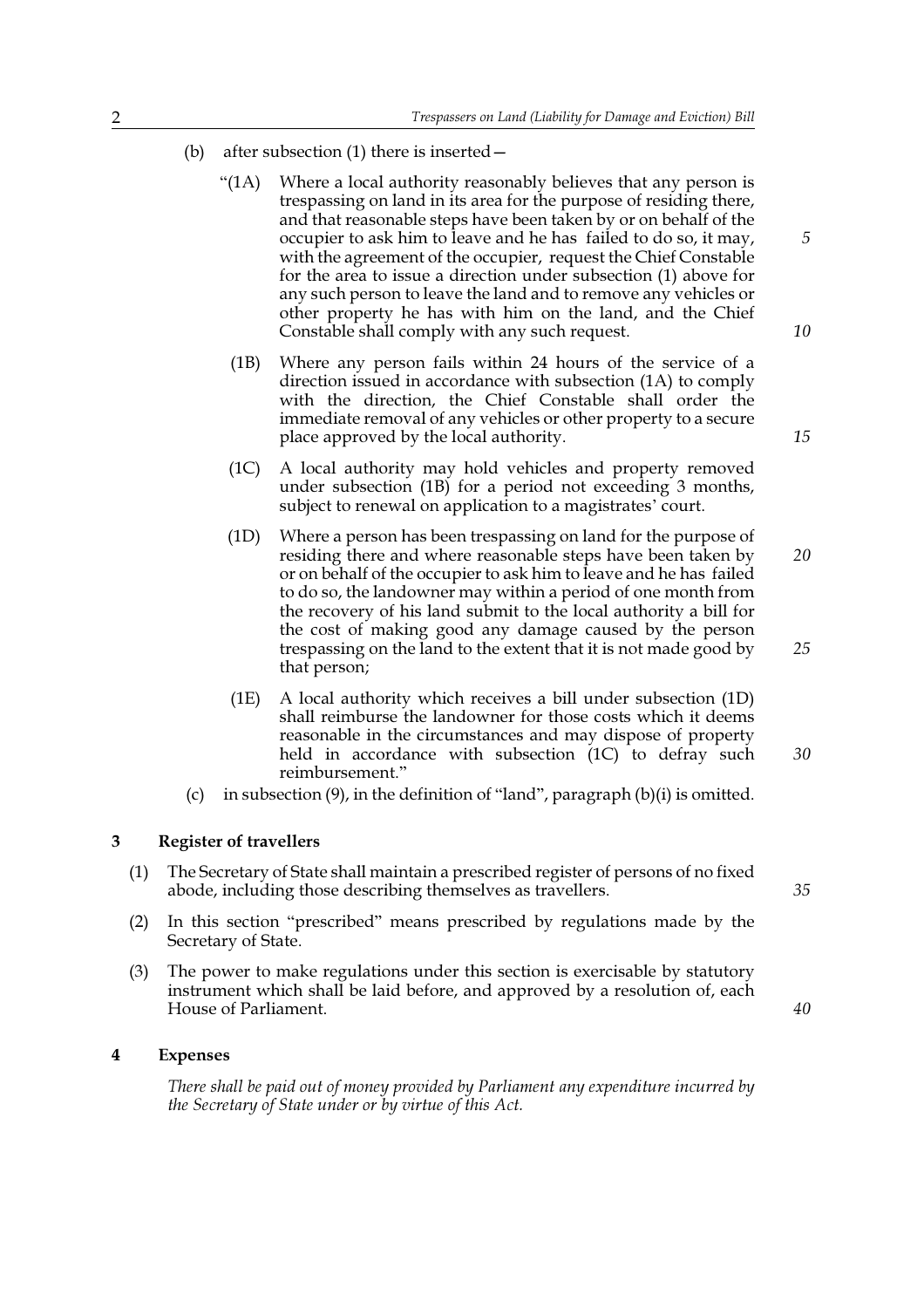- after subsection (1) there is inserted - $(b)$ 
	- $(1A)$ Where a local authority reasonably believes that any person is trespassing on land in its area for the purpose of residing there, and that reasonable steps have been taken by or on behalf of the occupier to ask him to leave and he has failed to do so, it may, with the agreement of the occupier, request the Chief Constable for the area to issue a direction under subsection (1) above for any such person to leave the land and to remove any vehicles or other property he has with him on the land, and the Chief Constable shall comply with any such request.
		- Where any person fails within 24 hours of the service of a  $(1B)$ direction issued in accordance with subsection (1A) to comply with the direction, the Chief Constable shall order the immediate removal of any vehicles or other property to a secure place approved by the local authority.
		- $(1C)$ A local authority may hold vehicles and property removed under subsection (1B) for a period not exceeding 3 months, subject to renewal on application to a magistrates' court.
	- Where a person has been trespassing on land for the purpose of  $(1D)$ residing there and where reasonable steps have been taken by 20 or on behalf of the occupier to ask him to leave and he has failed to do so, the landowner may within a period of one month from the recovery of his land submit to the local authority a bill for the cost of making good any damage caused by the person trespassing on the land to the extent that it is not made good by that person;
	- $(1E)$ A local authority which receives a bill under subsection (1D) shall reimburse the landowner for those costs which it deems reasonable in the circumstances and may dispose of property held in accordance with subsection (1C) to defray such reimbursement."
- (c) in subsection  $(9)$ , in the definition of "land", paragraph  $(b)(i)$  is omitted.

#### $\overline{3}$ **Register of travellers**

- $(1)$ The Secretary of State shall maintain a prescribed register of persons of no fixed abode, including those describing themselves as travellers.
- In this section "prescribed" means prescribed by regulations made by the  $(2)$ Secretary of State.
- The power to make regulations under this section is exercisable by statutory  $(3)$ instrument which shall be laid before, and approved by a resolution of, each House of Parliament.

#### $\overline{\mathbf{4}}$ **Expenses**

There shall be paid out of money provided by Parliament any expenditure incurred by the Secretary of State under or by virtue of this Act.

5

10

15

25

30

40

35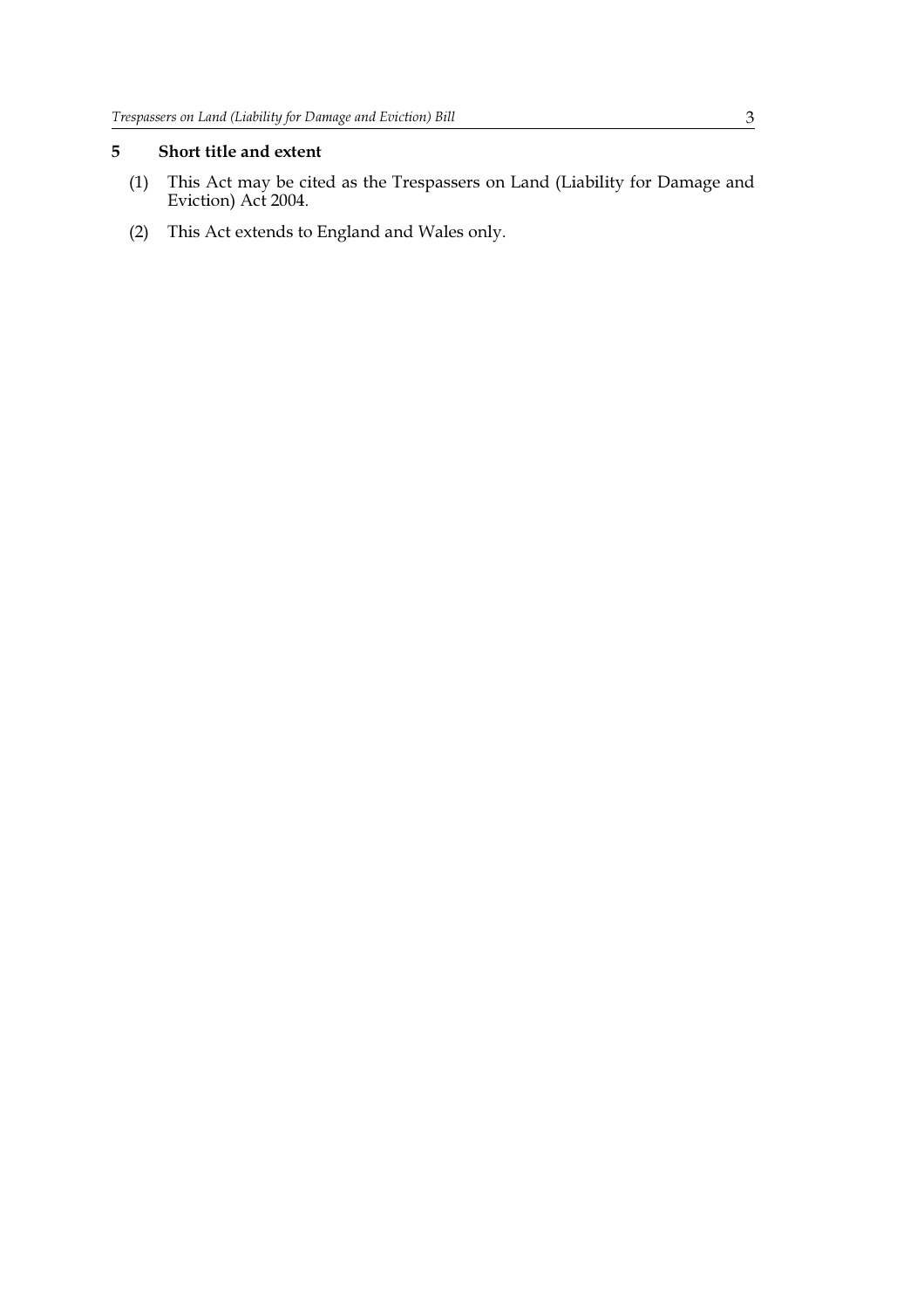## 5 Short title and extent

- (1) This Act may be cited as the Trespassers on Land (Liability for Damage and Eviction) Act 2004.
- (2) This Act extends to England and Wales only.